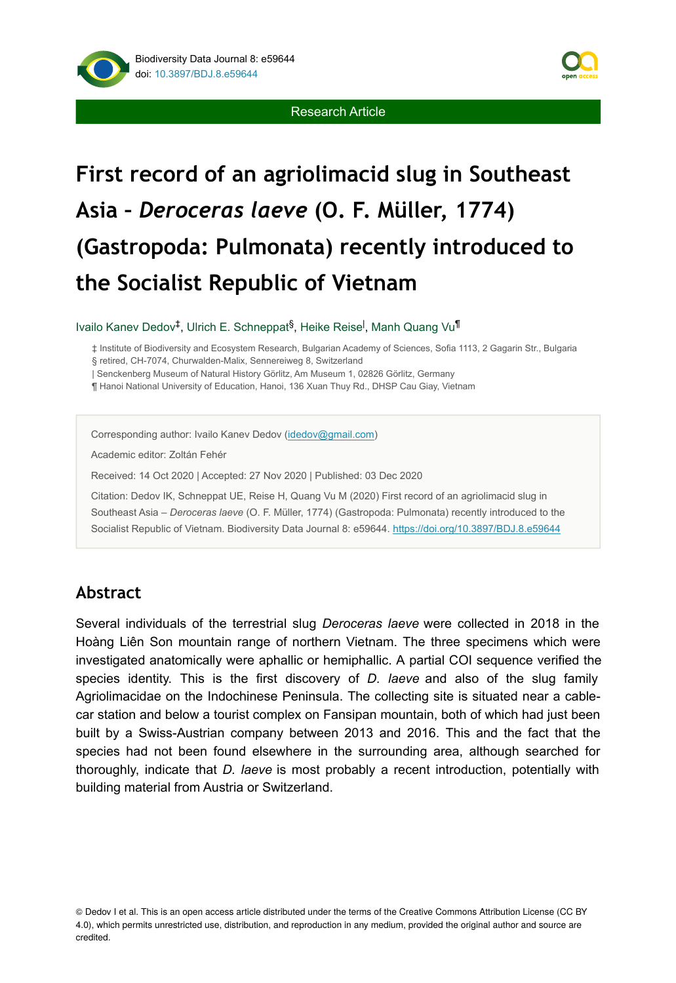



# **First record of an agriolimacid slug in Southeast Asia –** *Deroceras laeve* **(O. F. Müller, 1774) (Gastropoda: Pulmonata) recently introduced to the Socialist Republic of Vietnam**

Ivailo Kanev Dedov<sup>‡</sup>, Ulrich E. Schneppat<sup>§</sup>, Heike Reise<sup>l</sup>, Manh Quang Vu<sup>¶</sup>

‡ Institute of Biodiversity and Ecosystem Research, Bulgarian Academy of Sciences, Sofia 1113, 2 Gagarin Str., Bulgaria § retired, CH-7074, Churwalden-Malix, Sennereiweg 8, Switzerland

| Senckenberg Museum of Natural History Görlitz, Am Museum 1, 02826 Görlitz, Germany

¶ Hanoi National University of Education, Hanoi, 136 Xuan Thuy Rd., DHSP Cau Giay, Vietnam

Corresponding author: Ivailo Kanev Dedov [\(idedov@gmail.com\)](mailto:idedov@gmail.com)

Academic editor: Zoltán Fehér

Received: 14 Oct 2020 | Accepted: 27 Nov 2020 | Published: 03 Dec 2020

Citation: Dedov IK, Schneppat UE, Reise H, Quang Vu M (2020) First record of an agriolimacid slug in Southeast Asia – *Deroceras laeve* (O. F. Müller, 1774) (Gastropoda: Pulmonata) recently introduced to the Socialist Republic of Vietnam. Biodiversity Data Journal 8: e59644. <https://doi.org/10.3897/BDJ.8.e59644>

## **Abstract**

Several individuals of the terrestrial slug *Deroceras laeve* were collected in 2018 in the Hoàng Liên Son mountain range of northern Vietnam. The three specimens which were investigated anatomically were aphallic or hemiphallic. A partial COI sequence verified the species identity. This is the first discovery of *D. laeve* and also of the slug family Agriolimacidae on the Indochinese Peninsula. The collecting site is situated near a cablecar station and below a tourist complex on Fansipan mountain, both of which had just been built by a Swiss-Austrian company between 2013 and 2016. This and the fact that the species had not been found elsewhere in the surrounding area, although searched for thoroughly, indicate that *D. laeve* is most probably a recent introduction, potentially with building material from Austria or Switzerland.

<sup>©</sup> Dedov I et al. This is an open access article distributed under the terms of the Creative Commons Attribution License (CC BY 4.0), which permits unrestricted use, distribution, and reproduction in any medium, provided the original author and source are credited.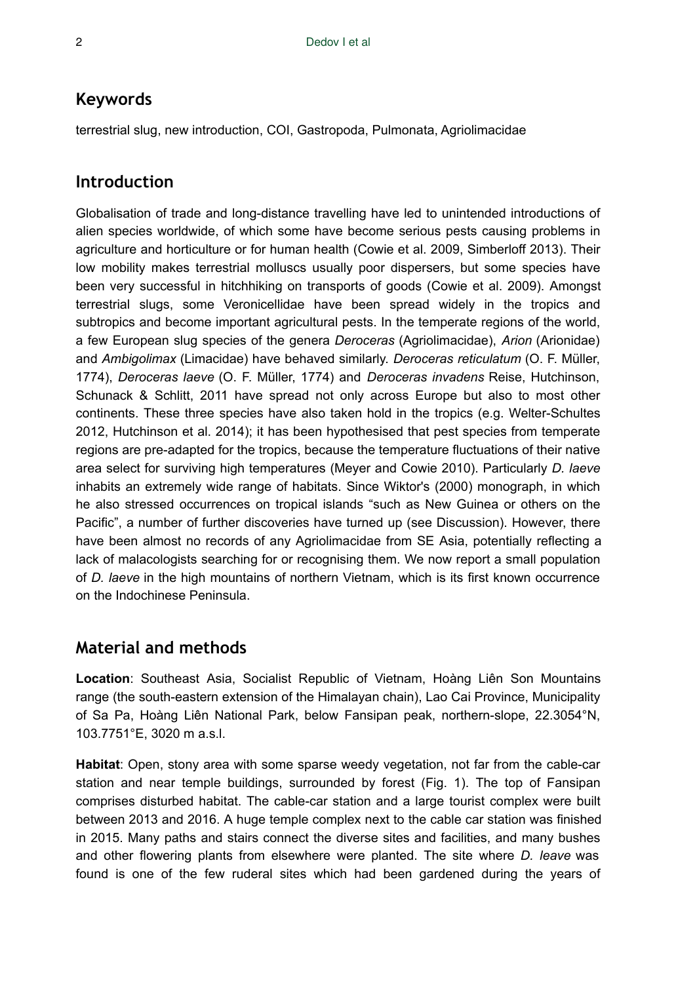# **Keywords**

terrestrial slug, new introduction, COI, Gastropoda, Pulmonata, Agriolimacidae

# **Introduction**

Globalisation of trade and long-distance travelling have led to unintended introductions of alien species worldwide, of which some have become serious pests causing problems in agriculture and horticulture or for human health (Cowie et al. 2009, Simberloff 2013). Their low mobility makes terrestrial molluscs usually poor dispersers, but some species have been very successful in hitchhiking on transports of goods (Cowie et al. 2009). Amongst terrestrial slugs, some Veronicellidae have been spread widely in the tropics and subtropics and become important agricultural pests. In the temperate regions of the world, a few European slug species of the genera *Deroceras* (Agriolimacidae), *Arion* (Arionidae) and *Ambigolimax* (Limacidae) have behaved similarly. *Deroceras reticulatum* (O. F. Müller, 1774), *Deroceras laeve* (O. F. Müller, 1774) and *Deroceras invadens* Reise, Hutchinson, Schunack & Schlitt, 2011 have spread not only across Europe but also to most other continents. These three species have also taken hold in the tropics (e.g. Welter-Schultes 2012, Hutchinson et al. 2014); it has been hypothesised that pest species from temperate regions are pre-adapted for the tropics, because the temperature fluctuations of their native area select for surviving high temperatures (Meyer and Cowie 2010). Particularly *D. laeve* inhabits an extremely wide range of habitats. Since Wiktor's (2000) monograph, in which he also stressed occurrences on tropical islands "such as New Guinea or others on the Pacific", a number of further discoveries have turned up (see Discussion). However, there have been almost no records of any Agriolimacidae from SE Asia, potentially reflecting a lack of malacologists searching for or recognising them. We now report a small population of *D. laeve* in the high mountains of northern Vietnam, which is its first known occurrence on the Indochinese Peninsula.

# **Material and methods**

**Location**: Southeast Asia, Socialist Republic of Vietnam, Hoàng Liên Son Mountains range (the south-eastern extension of the Himalayan chain), Lao Cai Province, Municipality of Sa Pa, Hoàng Liên National Park, below Fansipan peak, northern-slope, 22.3054°N, 103.7751°E, 3020 m a.s.l.

**Habitat**: Open, stony area with some sparse weedy vegetation, not far from the cable-car station and near temple buildings, surrounded by forest (Fig. 1). The top of Fansipan comprises disturbed habitat. The cable-car station and a large tourist complex were built between 2013 and 2016. A huge temple complex next to the cable car station was finished in 2015. Many paths and stairs connect the diverse sites and facilities, and many bushes and other flowering plants from elsewhere were planted. The site where *D. leave* was found is one of the few ruderal sites which had been gardened during the years of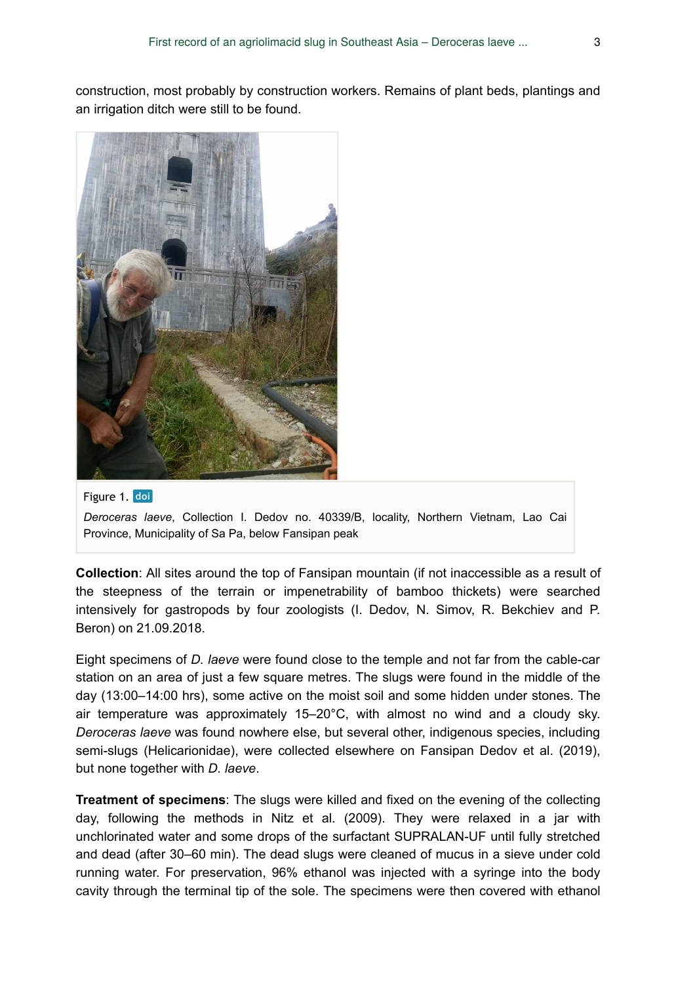construction, most probably by construction workers. Remains of plant beds, plantings and an irrigation ditch were still to be found.



#### Figure 1. doi

*Deroceras laeve*, Collection I. Dedov no. 40339/B, locality, Northern Vietnam, Lao Cai Province, Municipality of Sa Pa, below Fansipan peak

**Collection**: All sites around the top of Fansipan mountain (if not inaccessible as a result of the steepness of the terrain or impenetrability of bamboo thickets) were searched intensively for gastropods by four zoologists (I. Dedov, N. Simov, R. Bekchiev and P. Beron) on 21.09.2018.

Eight specimens of *D. laeve* were found close to the temple and not far from the cable-car station on an area of just a few square metres. The slugs were found in the middle of the day (13:00–14:00 hrs), some active on the moist soil and some hidden under stones. The air temperature was approximately 15–20°C, with almost no wind and a cloudy sky. *Deroceras laeve* was found nowhere else, but several other, indigenous species, including semi-slugs (Helicarionidae), were collected elsewhere on Fansipan Dedov et al. (2019), but none together with *D. laeve*.

**Treatment of specimens**: The slugs were killed and fixed on the evening of the collecting day, following the methods in Nitz et al. (2009). They were relaxed in a jar with unchlorinated water and some drops of the surfactant SUPRALAN-UF until fully stretched and dead (after 30–60 min). The dead slugs were cleaned of mucus in a sieve under cold running water. For preservation, 96% ethanol was injected with a syringe into the body cavity through the terminal tip of the sole. The specimens were then covered with ethanol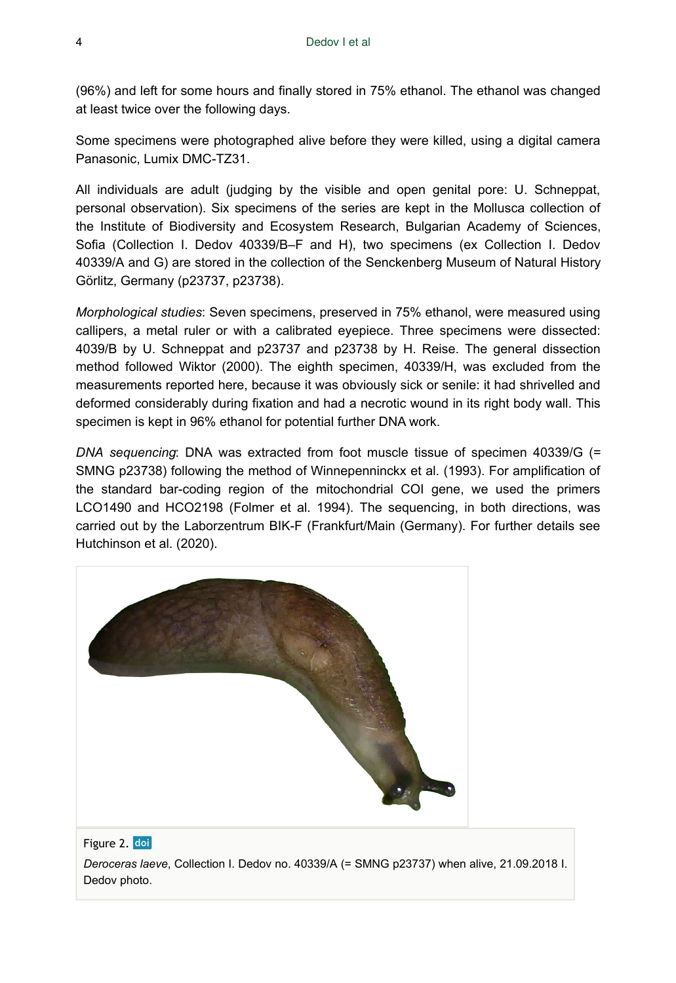(96%) and left for some hours and finally stored in 75% ethanol. The ethanol was changed at least twice over the following days.

Some specimens were photographed alive before they were killed, using a digital camera Panasonic, Lumix DMC-TZ31.

All individuals are adult (judging by the visible and open genital pore: U. Schneppat, personal observation). Six specimens of the series are kept in the Mollusca collection of the Institute of Biodiversity and Ecosystem Research, Bulgarian Academy of Sciences, Sofia (Collection I. Dedov 40339/B–F and H), two specimens (ex Collection I. Dedov 40339/A and G) are stored in the collection of the Senckenberg Museum of Natural History Görlitz, Germany (p23737, p23738).

*Morphological studies*: Seven specimens, preserved in 75% ethanol, were measured using callipers, a metal ruler or with a calibrated eyepiece. Three specimens were dissected: 4039/B by U. Schneppat and p23737 and p23738 by H. Reise. The general dissection method followed Wiktor (2000). The eighth specimen, 40339/H, was excluded from the measurements reported here, because it was obviously sick or senile: it had shrivelled and deformed considerably during fixation and had a necrotic wound in its right body wall. This specimen is kept in 96% ethanol for potential further DNA work.

*DNA sequencing*: DNA was extracted from foot muscle tissue of specimen 40339/G (= SMNG p23738) following the method of Winnepenninckx et al. (1993). For amplification of the standard bar-coding region of the mitochondrial COI gene, we used the primers LCO1490 and HCO2198 (Folmer et al. 1994). The sequencing, in both directions, was carried out by the Laborzentrum BIK-F (Frankfurt/Main (Germany). For further details see Hutchinson et al. (2020).





*Deroceras laeve*, Collection I. Dedov no. 40339/A (= SMNG p23737) when alive, 21.09.2018 I. Dedov photo.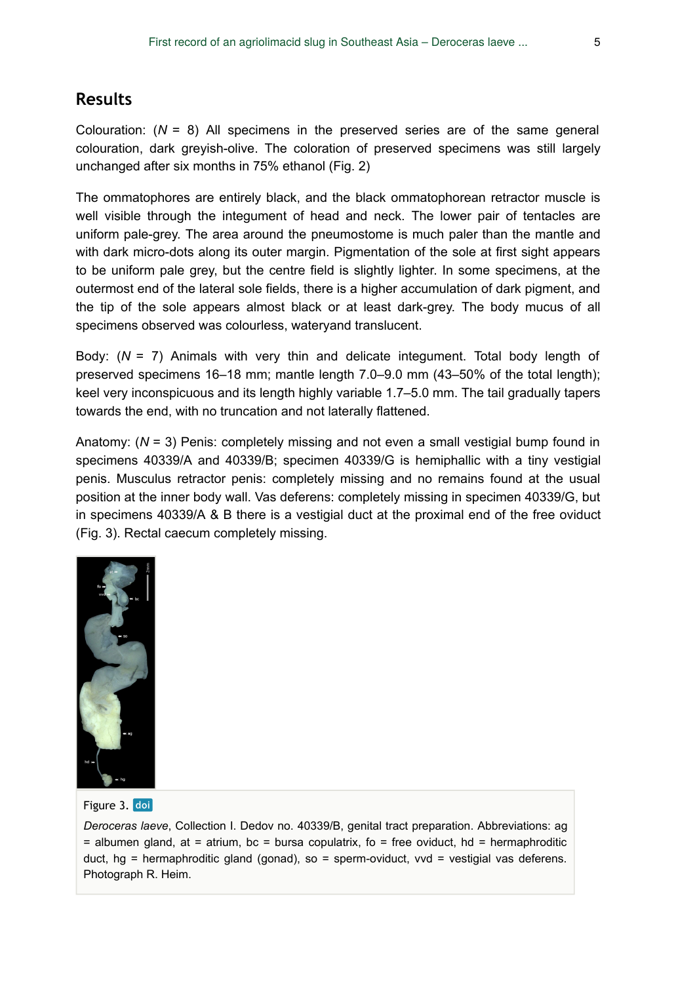# **Results**

Colouration: (*N* = 8) All specimens in the preserved series are of the same general colouration, dark greyish-olive. The coloration of preserved specimens was still largely unchanged after six months in 75% ethanol (Fig. 2)

The ommatophores are entirely black, and the black ommatophorean retractor muscle is well visible through the integument of head and neck. The lower pair of tentacles are uniform pale-grey. The area around the pneumostome is much paler than the mantle and with dark micro-dots along its outer margin. Pigmentation of the sole at first sight appears to be uniform pale grey, but the centre field is slightly lighter. In some specimens, at the outermost end of the lateral sole fields, there is a higher accumulation of dark pigment, and the tip of the sole appears almost black or at least dark-grey. The body mucus of all specimens observed was colourless, wateryand translucent.

Body: (*N* = 7) Animals with very thin and delicate integument. Total body length of preserved specimens 16–18 mm; mantle length 7.0–9.0 mm (43–50% of the total length); keel very inconspicuous and its length highly variable 1.7–5.0 mm. The tail gradually tapers towards the end, with no truncation and not laterally flattened.

Anatomy: (*N* = 3) Penis: completely missing and not even a small vestigial bump found in specimens 40339/A and 40339/B; specimen 40339/G is hemiphallic with a tiny vestigial penis. Musculus retractor penis: completely missing and no remains found at the usual position at the inner body wall. Vas deferens: completely missing in specimen 40339/G, but in specimens 40339/A & B there is a vestigial duct at the proximal end of the free oviduct (Fig. 3). Rectal caecum completely missing.



Figure 3. doi

*Deroceras laeve*, Collection I. Dedov no. 40339/B, genital tract preparation. Abbreviations: ag  $=$  albumen gland, at  $=$  atrium, bc  $=$  bursa copulatrix, fo  $=$  free oviduct, hd  $=$  hermaphroditic duct,  $hg = hermaphroiditic gland (gonad), so = sperm-oviduct, vvd = vestigial vas deferens.$ Photograph R. Heim.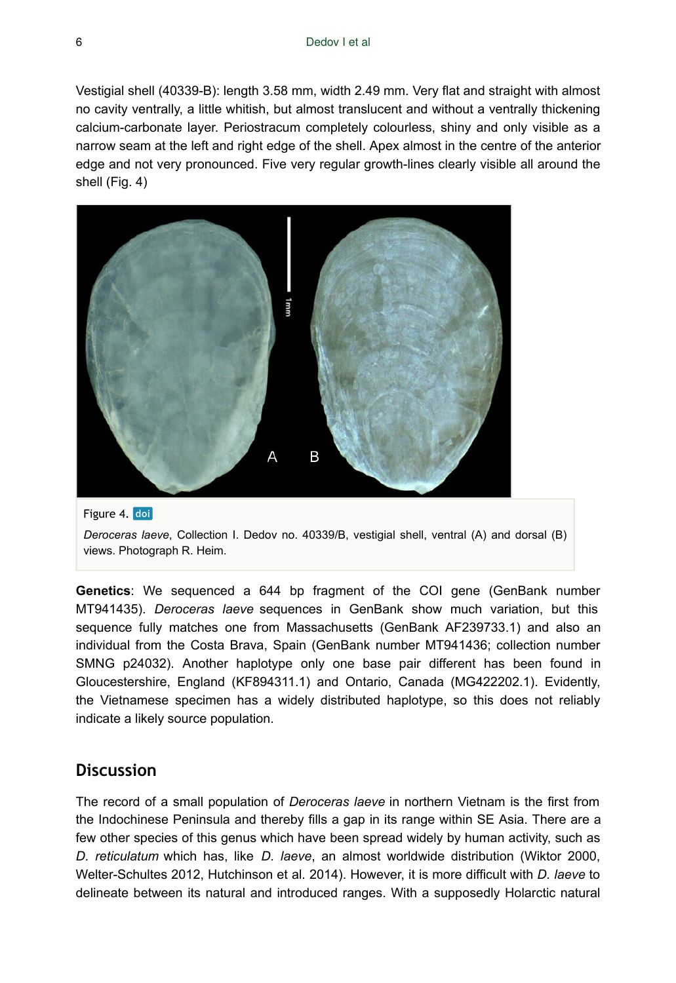Vestigial shell (40339-B): length 3.58 mm, width 2.49 mm. Very flat and straight with almost no cavity ventrally, a little whitish, but almost translucent and without a ventrally thickening calcium-carbonate layer. Periostracum completely colourless, shiny and only visible as a narrow seam at the left and right edge of the shell. Apex almost in the centre of the anterior edge and not very pronounced. Five very regular growth-lines clearly visible all around the shell (Fig. 4)





**Genetics**: We sequenced a 644 bp fragment of the COI gene (GenBank number MT941435). *Deroceras laeve* sequences in GenBank show much variation, but this sequence fully matches one from Massachusetts (GenBank AF239733.1) and also an individual from the Costa Brava, Spain (GenBank number MT941436; collection number SMNG p24032). Another haplotype only one base pair different has been found in Gloucestershire, England (KF894311.1) and Ontario, Canada (MG422202.1). Evidently, the Vietnamese specimen has a widely distributed haplotype, so this does not reliably indicate a likely source population.

### **Discussion**

The record of a small population of *Deroceras laeve* in northern Vietnam is the first from the Indochinese Peninsula and thereby fills a gap in its range within SE Asia. There are a few other species of this genus which have been spread widely by human activity, such as *D. reticulatum* which has, like *D. laeve*, an almost worldwide distribution (Wiktor 2000, Welter-Schultes 2012, Hutchinson et al. 2014). However, it is more difficult with *D. laeve* to delineate between its natural and introduced ranges. With a supposedly Holarctic natural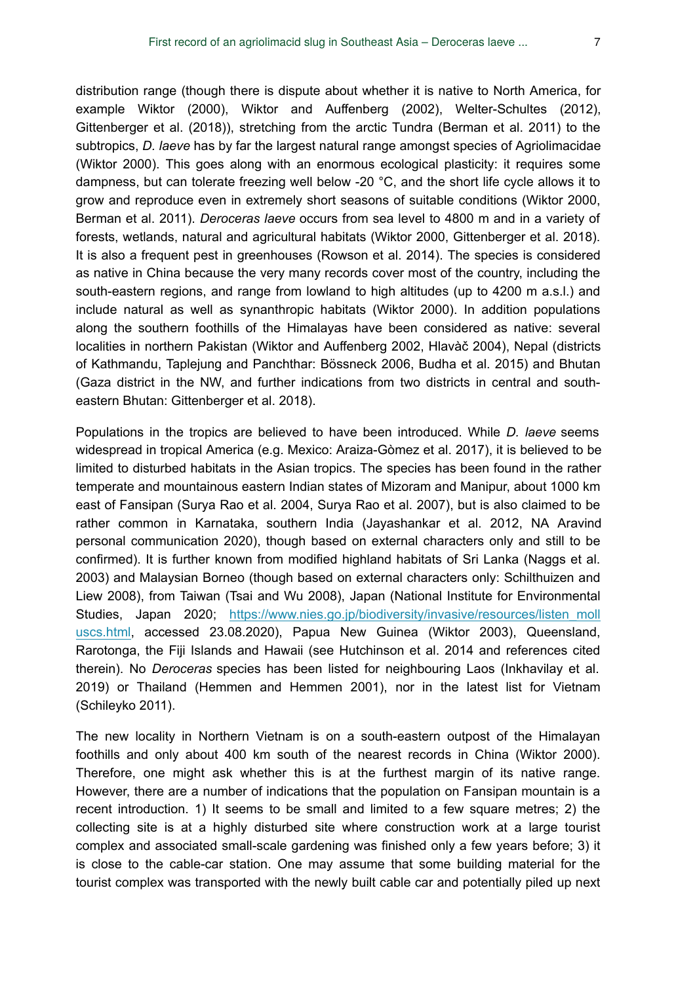distribution range (though there is dispute about whether it is native to North America, for example Wiktor (2000), Wiktor and Auffenberg (2002), Welter-Schultes (2012), Gittenberger et al. (2018)), stretching from the arctic Tundra (Berman et al. 2011) to the subtropics, *D. laeve* has by far the largest natural range amongst species of Agriolimacidae (Wiktor 2000). This goes along with an enormous ecological plasticity: it requires some dampness, but can tolerate freezing well below -20 °C, and the short life cycle allows it to grow and reproduce even in extremely short seasons of suitable conditions (Wiktor 2000, Berman et al. 2011). *Deroceras laeve* occurs from sea level to 4800 m and in a variety of forests, wetlands, natural and agricultural habitats (Wiktor 2000, Gittenberger et al. 2018). It is also a frequent pest in greenhouses (Rowson et al. 2014). The species is considered as native in China because the very many records cover most of the country, including the south-eastern regions, and range from lowland to high altitudes (up to 4200 m a.s.l.) and include natural as well as synanthropic habitats (Wiktor 2000). In addition populations along the southern foothills of the Himalayas have been considered as native: several localities in northern Pakistan (Wiktor and Auffenberg 2002, Hlavàč 2004), Nepal (districts of Kathmandu, Taplejung and Panchthar: Bössneck 2006, Budha et al. 2015) and Bhutan (Gaza district in the NW, and further indications from two districts in central and southeastern Bhutan: Gittenberger et al. 2018).

Populations in the tropics are believed to have been introduced. While *D. laeve* seems widespread in tropical America (e.g. Mexico: Araiza-Gòmez et al. 2017), it is believed to be limited to disturbed habitats in the Asian tropics. The species has been found in the rather temperate and mountainous eastern Indian states of Mizoram and Manipur, about 1000 km east of Fansipan (Surya Rao et al. 2004, Surya Rao et al. 2007), but is also claimed to be rather common in Karnataka, southern India (Jayashankar et al. 2012, NA Aravind personal communication 2020), though based on external characters only and still to be confirmed). It is further known from modified highland habitats of Sri Lanka (Naggs et al. 2003) and Malaysian Borneo (though based on external characters only: Schilthuizen and Liew 2008), from Taiwan (Tsai and Wu 2008), Japan (National Institute for Environmental Studies, Japan 2020; https://www.nies.go.jp/biodiversity/invasive/resources/listen moll [uscs.html](https://www.nies.go.jp/biodiversity/invasive/resources/listen_molluscs.html), accessed 23.08.2020), Papua New Guinea (Wiktor 2003), Queensland, Rarotonga, the Fiji Islands and Hawaii (see Hutchinson et al. 2014 and references cited therein). No *Deroceras* species has been listed for neighbouring Laos (Inkhavilay et al. 2019) or Thailand (Hemmen and Hemmen 2001), nor in the latest list for Vietnam (Schileyko 2011).

The new locality in Northern Vietnam is on a south-eastern outpost of the Himalayan foothills and only about 400 km south of the nearest records in China (Wiktor 2000). Therefore, one might ask whether this is at the furthest margin of its native range. However, there are a number of indications that the population on Fansipan mountain is a recent introduction. 1) It seems to be small and limited to a few square metres; 2) the collecting site is at a highly disturbed site where construction work at a large tourist complex and associated small-scale gardening was finished only a few years before; 3) it is close to the cable-car station. One may assume that some building material for the tourist complex was transported with the newly built cable car and potentially piled up next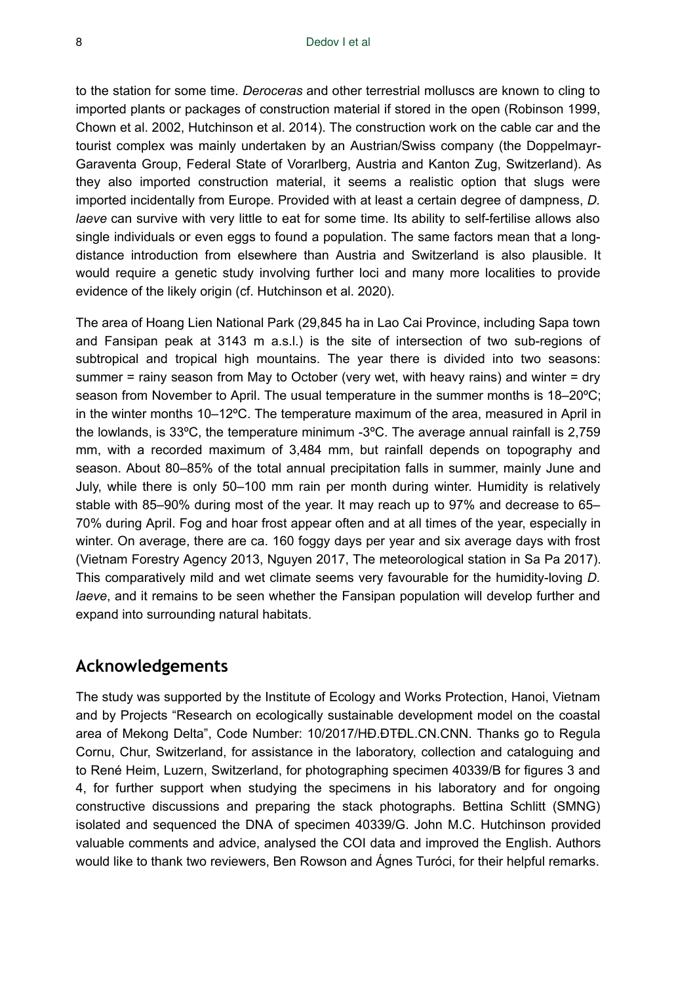to the station for some time. *Deroceras* and other terrestrial molluscs are known to cling to imported plants or packages of construction material if stored in the open (Robinson 1999, Chown et al. 2002, Hutchinson et al. 2014). The construction work on the cable car and the tourist complex was mainly undertaken by an Austrian/Swiss company (the Doppelmayr-Garaventa Group, Federal State of Vorarlberg, Austria and Kanton Zug, Switzerland). As they also imported construction material, it seems a realistic option that slugs were imported incidentally from Europe. Provided with at least a certain degree of dampness, *D. laeve* can survive with very little to eat for some time. Its ability to self-fertilise allows also single individuals or even eggs to found a population. The same factors mean that a longdistance introduction from elsewhere than Austria and Switzerland is also plausible. It would require a genetic study involving further loci and many more localities to provide evidence of the likely origin (cf. Hutchinson et al. 2020).

The area of Hoang Lien National Park (29,845 ha in Lao Cai Province, including Sapa town and Fansipan peak at 3143 m a.s.l.) is the site of intersection of two sub-regions of subtropical and tropical high mountains. The year there is divided into two seasons: summer = rainy season from May to October (very wet, with heavy rains) and winter = dry season from November to April. The usual temperature in the summer months is 18–20ºC; in the winter months 10–12ºC. The temperature maximum of the area, measured in April in the lowlands, is 33ºC, the temperature minimum -3ºC. The average annual rainfall is 2,759 mm, with a recorded maximum of 3,484 mm, but rainfall depends on topography and season. About 80–85% of the total annual precipitation falls in summer, mainly June and July, while there is only 50–100 mm rain per month during winter. Humidity is relatively stable with 85–90% during most of the year. It may reach up to 97% and decrease to 65– 70% during April. Fog and hoar frost appear often and at all times of the year, especially in winter. On average, there are ca. 160 foggy days per year and six average days with frost (Vietnam Forestry Agency 2013, Nguyen 2017, The meteorological station in Sa Pa 2017). This comparatively mild and wet climate seems very favourable for the humidity-loving *D. laeve*, and it remains to be seen whether the Fansipan population will develop further and expand into surrounding natural habitats.

## **Acknowledgements**

The study was supported by the Institute of Ecology and Works Protection, Hanoi, Vietnam and by Projects "Research on ecologically sustainable development model on the coastal area of Mekong Delta", Code Number: 10/2017/HĐ.ĐTĐL.CN.CNN. Thanks go to Regula Cornu, Chur, Switzerland, for assistance in the laboratory, collection and cataloguing and to René Heim, Luzern, Switzerland, for photographing specimen 40339/B for figures 3 and 4, for further support when studying the specimens in his laboratory and for ongoing constructive discussions and preparing the stack photographs. Bettina Schlitt (SMNG) isolated and sequenced the DNA of specimen 40339/G. John M.C. Hutchinson provided valuable comments and advice, analysed the COI data and improved the English. Authors would like to thank two reviewers, Ben Rowson and Ágnes Turóci, for their helpful remarks.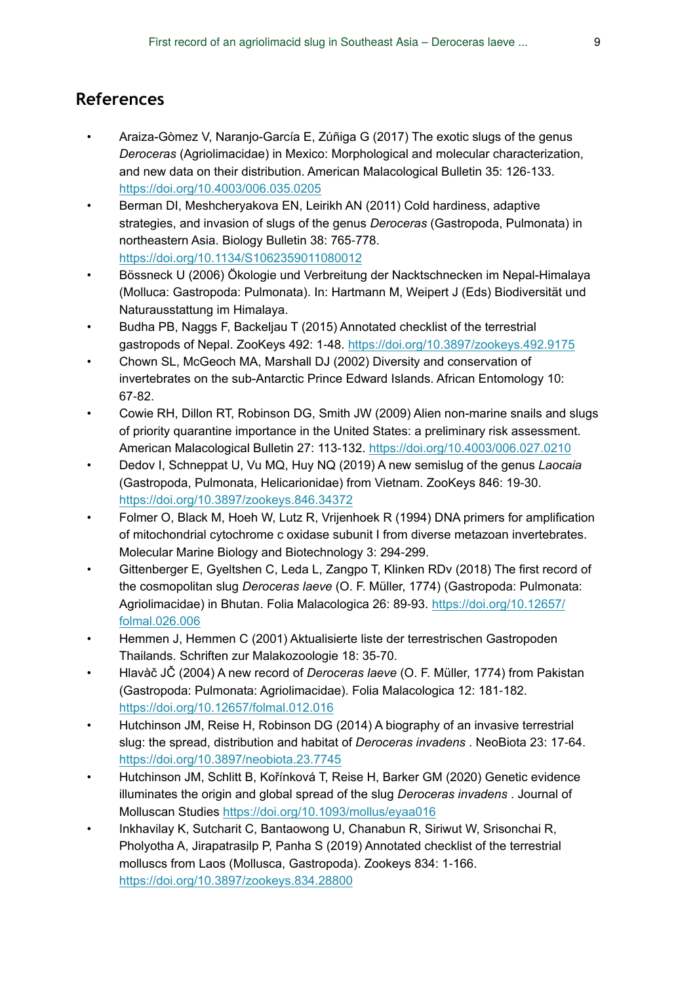# **References**

- Araiza-Gòmez V, Naranjo-García E, Zúñiga G (2017) The exotic slugs of the genus *Deroceras* (Agriolimacidae) in Mexico: Morphological and molecular characterization, and new data on their distribution. American Malacological Bulletin 35: 126‑133. <https://doi.org/10.4003/006.035.0205>
- Berman DI, Meshcheryakova EN, Leirikh AN (2011) Cold hardiness, adaptive strategies, and invasion of slugs of the genus *Deroceras* (Gastropoda, Pulmonata) in northeastern Asia. Biology Bulletin 38: 765‑778. <https://doi.org/10.1134/S1062359011080012>
- Bössneck U (2006) Ökologie und Verbreitung der Nacktschnecken im Nepal-Himalaya (Molluca: Gastropoda: Pulmonata). In: Hartmann M, Weipert J (Eds) Biodiversität und Naturausstattung im Himalaya.
- Budha PB, Naggs F, Backeljau T (2015) Annotated checklist of the terrestrial gastropods of Nepal. ZooKeys 492: 1-48. <https://doi.org/10.3897/zookeys.492.9175>
- Chown SL, McGeoch MA, Marshall DJ (2002) Diversity and conservation of invertebrates on the sub-Antarctic Prince Edward Islands. African Entomology 10: 67‑82.
- Cowie RH, Dillon RT, Robinson DG, Smith JW (2009) Alien non-marine snails and slugs of priority quarantine importance in the United States: a preliminary risk assessment. American Malacological Bulletin 27: 113‑132.<https://doi.org/10.4003/006.027.0210>
- Dedov I, Schneppat U, Vu MQ, Huy NQ (2019) A new semislug of the genus *Laocaia* (Gastropoda, Pulmonata, Helicarionidae) from Vietnam. ZooKeys 846: 19‑30. <https://doi.org/10.3897/zookeys.846.34372>
- Folmer O, Black M, Hoeh W, Lutz R, Vrijenhoek R (1994) DNA primers for amplification of mitochondrial cytochrome c oxidase subunit I from diverse metazoan invertebrates. Molecular Marine Biology and Biotechnology 3: 294‑299.
- Gittenberger E, Gyeltshen C, Leda L, Zangpo T, Klinken RDv (2018) The first record of the cosmopolitan slug *Deroceras laeve* (O. F. Müller, 1774) (Gastropoda: Pulmonata: Agriolimacidae) in Bhutan. Folia Malacologica 26: 89-93. [https://doi.org/10.12657/](https://doi.org/10.12657/folmal.026.006) [folmal.026.006](https://doi.org/10.12657/folmal.026.006)
- Hemmen J, Hemmen C (2001) Aktualisierte liste der terrestrischen Gastropoden Thailands. Schriften zur Malakozoologie 18: 35‑70.
- Hlavàč JČ (2004) A new record of *Deroceras laeve* (O. F. Müller, 1774) from Pakistan (Gastropoda: Pulmonata: Agriolimacidae). Folia Malacologica 12: 181-182. <https://doi.org/10.12657/folmal.012.016>
- Hutchinson JM, Reise H, Robinson DG (2014) A biography of an invasive terrestrial slug: the spread, distribution and habitat of *Deroceras invadens* . NeoBiota 23: 17‑64. <https://doi.org/10.3897/neobiota.23.7745>
- Hutchinson JM, Schlitt B, Kořínková T, Reise H, Barker GM (2020) Genetic evidence illuminates the origin and global spread of the slug *Deroceras invadens* . Journal of Molluscan Studies<https://doi.org/10.1093/mollus/eyaa016>
- Inkhavilay K, Sutcharit C, Bantaowong U, Chanabun R, Siriwut W, Srisonchai R, Pholyotha A, Jirapatrasilp P, Panha S (2019) Annotated checklist of the terrestrial molluscs from Laos (Mollusca, Gastropoda). Zookeys 834: 1‑166. <https://doi.org/10.3897/zookeys.834.28800>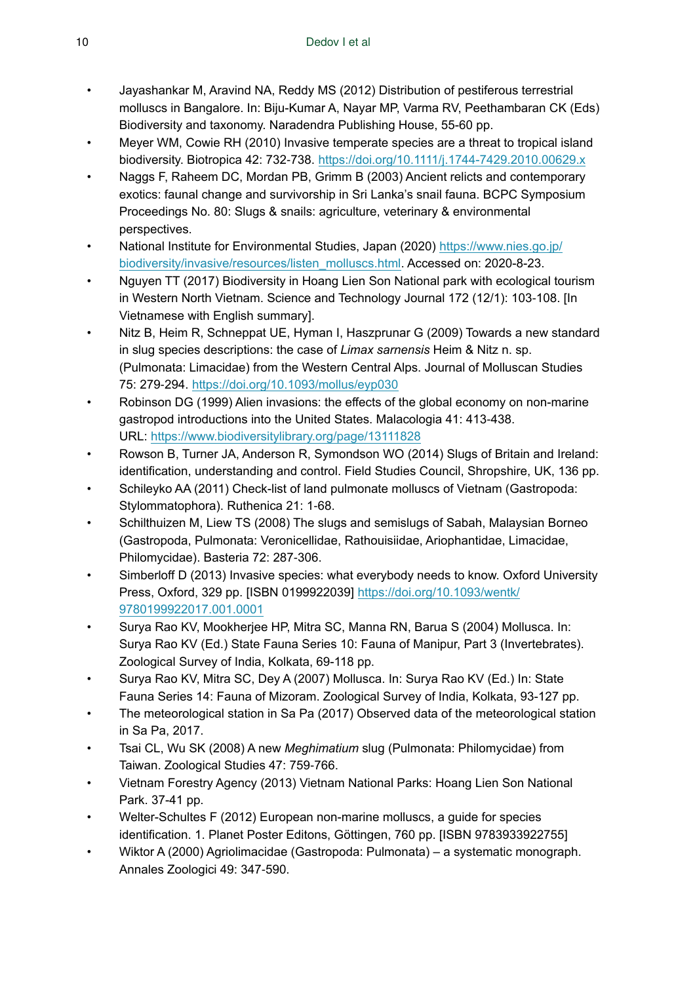- Jayashankar M, Aravind NA, Reddy MS (2012) Distribution of pestiferous terrestrial molluscs in Bangalore. In: Biju-Kumar A, Nayar MP, Varma RV, Peethambaran CK (Eds) Biodiversity and taxonomy. Naradendra Publishing House, 55-60 pp.
- Meyer WM, Cowie RH (2010) Invasive temperate species are a threat to tropical island biodiversity. Biotropica 42: 732‑738.<https://doi.org/10.1111/j.1744-7429.2010.00629.x>
- Naggs F, Raheem DC, Mordan PB, Grimm B (2003) Ancient relicts and contemporary exotics: faunal change and survivorship in Sri Lanka's snail fauna. BCPC Symposium Proceedings No. 80: Slugs & snails: agriculture, veterinary & environmental perspectives.
- National Institute for Environmental Studies, Japan (2020) [https://www.nies.go.jp/](https://www.nies.go.jp/biodiversity/invasive/resources/listen_molluscs.html) [biodiversity/invasive/resources/listen\\_molluscs.html](https://www.nies.go.jp/biodiversity/invasive/resources/listen_molluscs.html). Accessed on: 2020-8-23.
- Nguyen TT (2017) Biodiversity in Hoang Lien Son National park with ecological tourism in Western North Vietnam. Science and Technology Journal 172 (12/1): 103-108. [In Vietnamese with English summary].
- Nitz B, Heim R, Schneppat UE, Hyman I, Haszprunar G (2009) Towards a new standard in slug species descriptions: the case of *Limax sarnensis* Heim & Nitz n. sp. (Pulmonata: Limacidae) from the Western Central Alps. Journal of Molluscan Studies 75: 279‑294. <https://doi.org/10.1093/mollus/eyp030>
- Robinson DG (1999) Alien invasions: the effects of the global economy on non-marine gastropod introductions into the United States. Malacologia 41: 413‑438. URL:<https://www.biodiversitylibrary.org/page/13111828>
- Rowson B, Turner JA, Anderson R, Symondson WO (2014) Slugs of Britain and Ireland: identification, understanding and control. Field Studies Council, Shropshire, UK, 136 pp.
- Schileyko AA (2011) Check-list of land pulmonate molluscs of Vietnam (Gastropoda: Stylommatophora). Ruthenica 21: 1-68.
- Schilthuizen M, Liew TS (2008) The slugs and semislugs of Sabah, Malaysian Borneo (Gastropoda, Pulmonata: Veronicellidae, Rathouisiidae, Ariophantidae, Limacidae, Philomycidae). Basteria 72: 287‑306.
- Simberloff D (2013) Invasive species: what everybody needs to know. Oxford University Press, Oxford, 329 pp. [ISBN 0199922039] [https://doi.org/10.1093/wentk/](https://doi.org/10.1093/wentk/9780199922017.001.0001) [9780199922017.001.0001](https://doi.org/10.1093/wentk/9780199922017.001.0001)
- Surya Rao KV, Mookherjee HP, Mitra SC, Manna RN, Barua S (2004) Mollusca. In: Surya Rao KV (Ed.) State Fauna Series 10: Fauna of Manipur, Part 3 (Invertebrates). Zoological Survey of India, Kolkata, 69-118 pp.
- Surya Rao KV, Mitra SC, Dey A (2007) Mollusca. In: Surya Rao KV (Ed.) In: State Fauna Series 14: Fauna of Mizoram. Zoological Survey of India, Kolkata, 93-127 pp.
- The meteorological station in Sa Pa (2017) Observed data of the meteorological station in Sa Pa, 2017.
- Tsai CL, Wu SK (2008) A new *Meghimatium* slug (Pulmonata: Philomycidae) from Taiwan. Zoological Studies 47: 759-766.
- Vietnam Forestry Agency (2013) Vietnam National Parks: Hoang Lien Son National Park. 37-41 pp.
- Welter-Schultes F (2012) European non-marine molluscs, a guide for species identification. 1. Planet Poster Editons, Göttingen, 760 pp. [ISBN 9783933922755]
- Wiktor A (2000) Agriolimacidae (Gastropoda: Pulmonata) a systematic monograph. Annales Zoologici 49: 347‑590.